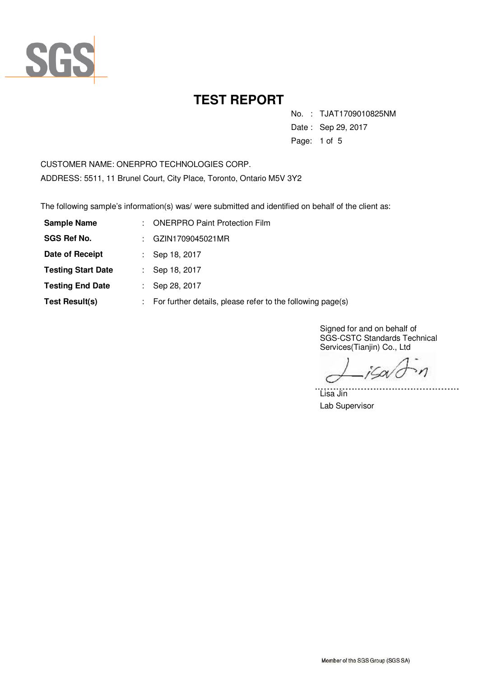

No. : TJAT1709010825NM

Date : Sep 29, 2017

Page: 1 of 5

CUSTOMER NAME: ONERPRO TECHNOLOGIES CORP. ADDRESS: 5511, 11 Brunel Court, City Place, Toronto, Ontario M5V 3Y2

The following sample's information(s) was/ were submitted and identified on behalf of the client as:

| <b>Sample Name</b>        | <b>ONERPRO Paint Protection Film</b>                       |
|---------------------------|------------------------------------------------------------|
| <b>SGS Ref No.</b>        | GZIN1709045021MR                                           |
| Date of Receipt           | : Sep 18, 2017                                             |
| <b>Testing Start Date</b> | Sep 18, 2017                                               |
| <b>Testing End Date</b>   | Sep 28, 2017                                               |
| <b>Test Result(s)</b>     | For further details, please refer to the following page(s) |

Signed for and on behalf of SGS-CSTC Standards Technical Services(Tianjin) Co., Ltd

 $\eta$ iSov

. . . . . . .

Lisa Jin Lab Supervisor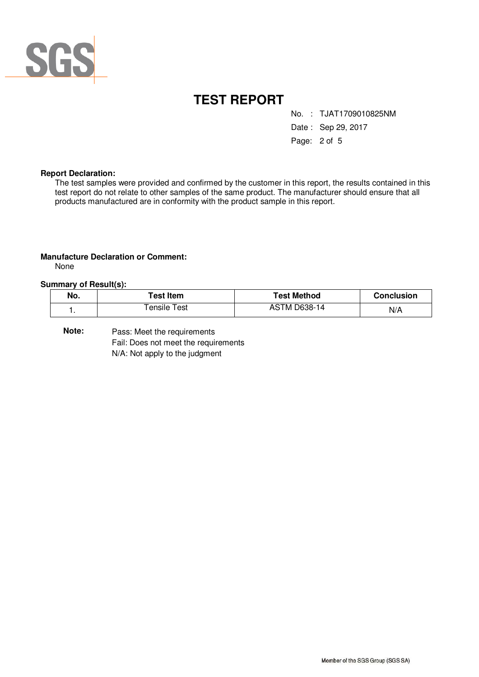

No. : TJAT1709010825NM

Date : Sep 29, 2017

Page: 2 of 5

### **Report Declaration:**

The test samples were provided and confirmed by the customer in this report, the results contained in this test report do not relate to other samples of the same product. The manufacturer should ensure that all products manufactured are in conformity with the product sample in this report.

### **Manufacture Declaration or Comment:**

None

### **Summary of Result(s):**

| No. | <b>⊺est Item</b> | Test Method         | <b>Conclusion</b> |
|-----|------------------|---------------------|-------------------|
|     | ensile<br>Test   | <b>ASTM D638-14</b> | N/A               |

Pass: Meet the requirements Fail: Does not meet the requirements N/A: Not apply to the judgment **Note:**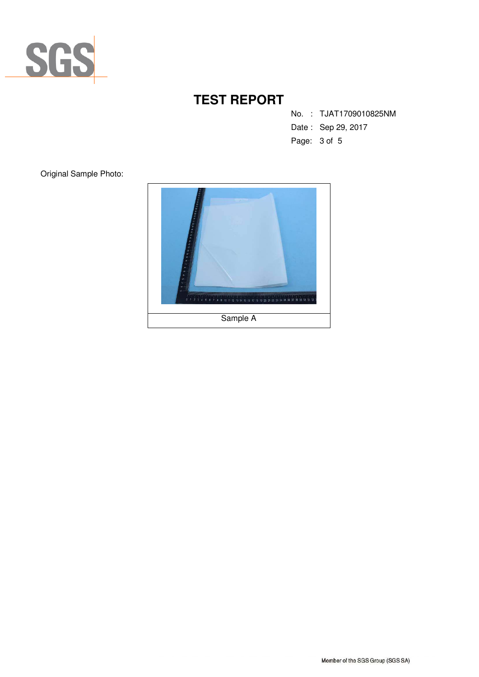

No. : TJAT1709010825NM

- Date : Sep 29, 2017
- Page: 3 of 5

Original Sample Photo:

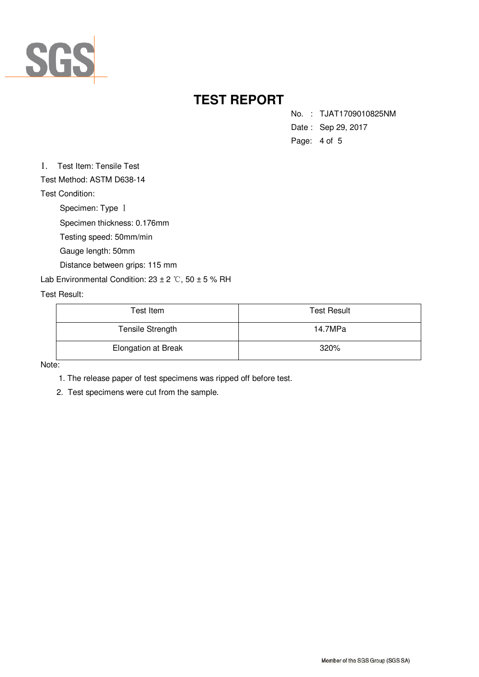

No. : TJAT1709010825NM

- Date : Sep 29, 2017
- Page: 4 of 5

1. Test Item: Tensile Test

Test Method: ASTM D638-14

Test Condition:

Specimen: Type Ⅰ

Specimen thickness: 0.176mm

Testing speed: 50mm/min

Gauge length: 50mm

Distance between grips: 115 mm

Lab Environmental Condition:  $23 \pm 2$  °C,  $50 \pm 5$  % RH

### Test Result:

| Test Item                  | <b>Test Result</b> |  |
|----------------------------|--------------------|--|
| Tensile Strength           | 14.7MPa            |  |
| <b>Elongation at Break</b> | 320%               |  |

Note:

1. The release paper of test specimens was ripped off before test.

2. Test specimens were cut from the sample.